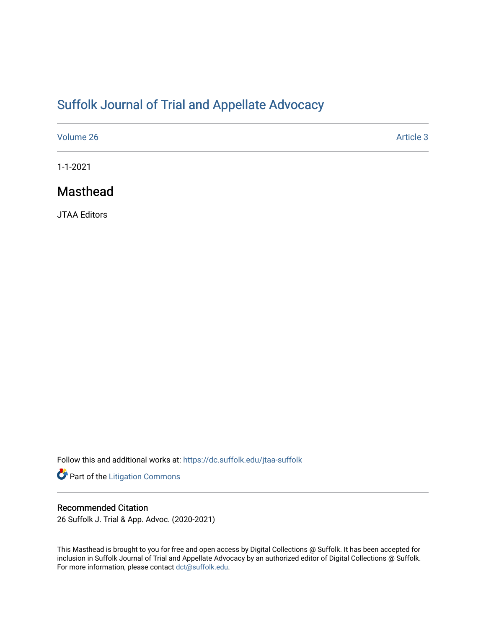# [Suffolk Journal of Trial and Appellate Advocacy](https://dc.suffolk.edu/jtaa-suffolk)

| Volume 26 | Article 3 |
|-----------|-----------|
|           |           |

1-1-2021

## Masthead

JTAA Editors

Follow this and additional works at: [https://dc.suffolk.edu/jtaa-suffolk](https://dc.suffolk.edu/jtaa-suffolk?utm_source=dc.suffolk.edu%2Fjtaa-suffolk%2Fvol26%2Fiss1%2F3&utm_medium=PDF&utm_campaign=PDFCoverPages) 

Part of the [Litigation Commons](http://network.bepress.com/hgg/discipline/910?utm_source=dc.suffolk.edu%2Fjtaa-suffolk%2Fvol26%2Fiss1%2F3&utm_medium=PDF&utm_campaign=PDFCoverPages)

## Recommended Citation

26 Suffolk J. Trial & App. Advoc. (2020-2021)

This Masthead is brought to you for free and open access by Digital Collections @ Suffolk. It has been accepted for inclusion in Suffolk Journal of Trial and Appellate Advocacy by an authorized editor of Digital Collections @ Suffolk. For more information, please contact [dct@suffolk.edu](mailto:dct@suffolk.edu).